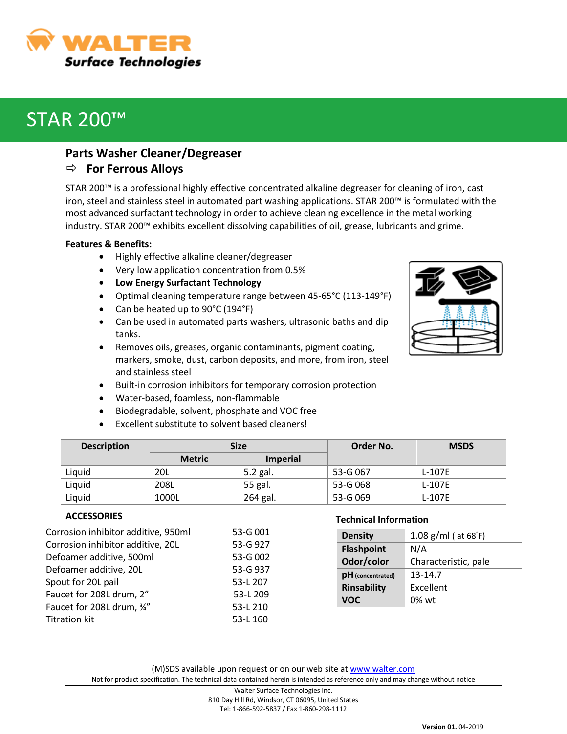WALTER **Surface Technologies** 

# STAR 200™

### **Parts Washer Cleaner/Degreaser**

## **For Ferrous Alloys**

STAR 200™ is a professional highly effective concentrated alkaline degreaser for cleaning of iron, cast iron, steel and stainless steel in automated part washing applications. STAR 200™ is formulated with the most advanced surfactant technology in order to achieve cleaning excellence in the metal working industry. STAR 200™ exhibits excellent dissolving capabilities of oil, grease, lubricants and grime.

#### **Features & Benefits:**

- Highly effective alkaline cleaner/degreaser
- Very low application concentration from 0.5%
- **Low Energy Surfactant Technology**
- Optimal cleaning temperature range between 45-65°C (113-149°F)
- Can be heated up to 90°C (194°F)
- Can be used in automated parts washers, ultrasonic baths and dip tanks.
- Removes oils, greases, organic contaminants, pigment coating, markers, smoke, dust, carbon deposits, and more, from iron, steel and stainless steel
- Built-in corrosion inhibitors for temporary corrosion protection
- Water-based, foamless, non-flammable
- Biodegradable, solvent, phosphate and VOC free
- Excellent substitute to solvent based cleaners!

| <b>Description</b> | <b>Size</b>   |                 | Order No. | <b>MSDS</b> |
|--------------------|---------------|-----------------|-----------|-------------|
|                    | <b>Metric</b> | <b>Imperial</b> |           |             |
| Liquid             | 20L           | 5.2 gal.        | 53-G 067  | $L-107E$    |
| Liquid             | 208L          | 55 gal.         | 53-G 068  | L-107E      |
| Liquid             | 1000L         | 264 gal.        | 53-G 069  | L-107E      |

#### **ACCESSORIES**

| Corrosion inhibitor additive, 950ml | 53-G 001 |
|-------------------------------------|----------|
| Corrosion inhibitor additive, 20L   | 53-G 927 |
| Defoamer additive, 500ml            | 53-G 002 |
| Defoamer additive, 20L              | 53-G 937 |
| Spout for 20L pail                  | 53-L 207 |
| Faucet for 208L drum, 2"            | 53-L 209 |
| Faucet for 208L drum, 34"           | 53-L 210 |
| <b>Titration kit</b>                | 53-L 160 |
|                                     |          |

#### **Technical Information**

| <b>Density</b>      | 1.08 $g/ml$ ( at 68 $F$ ) |  |
|---------------------|---------------------------|--|
| <b>Flashpoint</b>   | N/A                       |  |
| Odor/color          | Characteristic, pale      |  |
| $pH$ (concentrated) | 13-14.7                   |  |
| <b>Rinsability</b>  | Excellent                 |  |
| VOC.                | $0\%$ wt                  |  |



810 Day Hill Rd, Windsor, CT 06095, United States Tel: 1-866-592-5837 / Fax 1-860-298-1112

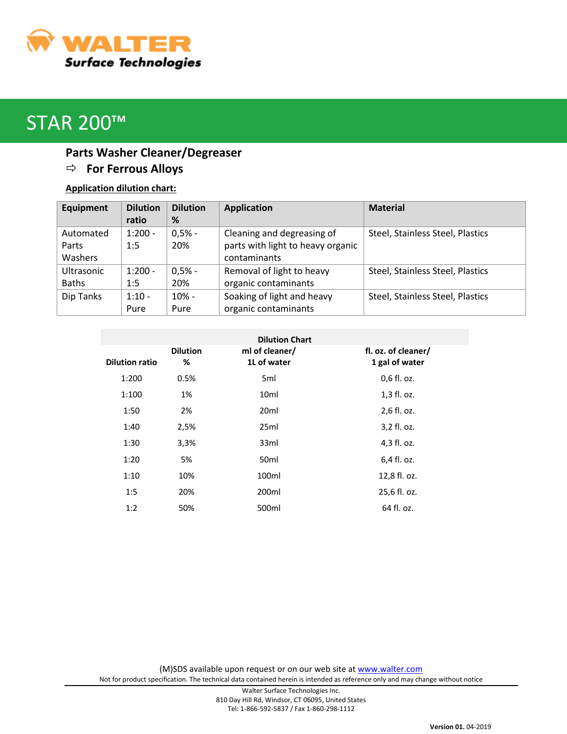

# STAR 200™

# **Parts Washer Cleaner/Degreaser For Ferrous Alloys**

## **Application dilution chart:**

| Equipment         | <b>Dilution</b> | <b>Dilution</b> | <b>Application</b>                | <b>Material</b>                  |
|-------------------|-----------------|-----------------|-----------------------------------|----------------------------------|
|                   | ratio           | %               |                                   |                                  |
| Automated         | $1:200 -$       | $0,5% -$        | Cleaning and degreasing of        | Steel, Stainless Steel, Plastics |
| Parts             | 1:5             | 20%             | parts with light to heavy organic |                                  |
| Washers           |                 |                 | contaminants                      |                                  |
| <b>Ultrasonic</b> | $1:200 -$       | $0,5% -$        | Removal of light to heavy         | Steel, Stainless Steel, Plastics |
| <b>Baths</b>      | 1:5             | 20%             | organic contaminants              |                                  |
| Dip Tanks         | $1:10 -$        | $10% -$         | Soaking of light and heavy        | Steel, Stainless Steel, Plastics |
|                   | Pure            | Pure            | organic contaminants              |                                  |

| <b>Dilution Chart</b> |                 |                  |                     |  |  |
|-----------------------|-----------------|------------------|---------------------|--|--|
|                       | <b>Dilution</b> | ml of cleaner/   | fl. oz. of cleaner/ |  |  |
| <b>Dilution ratio</b> | %               | 1L of water      | 1 gal of water      |  |  |
| 1:200                 | 0.5%            | 5ml              | 0,6 fl. oz.         |  |  |
| 1:100                 | 1%              | 10 <sub>ml</sub> | 1,3 fl. oz.         |  |  |
| 1:50                  | 2%              | 20 <sub>ml</sub> | 2,6 fl. oz.         |  |  |
| 1:40                  | 2,5%            | 25ml             | 3,2 fl. oz.         |  |  |
| 1:30                  | 3,3%            | 33ml             | 4,3 fl. oz.         |  |  |
| 1:20                  | 5%              | 50 <sub>ml</sub> | 6,4 fl. oz.         |  |  |
| 1:10                  | 10%             | 100ml            | 12,8 fl. oz.        |  |  |
| 1:5                   | 20%             | 200ml            | 25,6 fl. oz.        |  |  |
| 1:2                   | 50%             | 500ml            | 64 fl. oz.          |  |  |